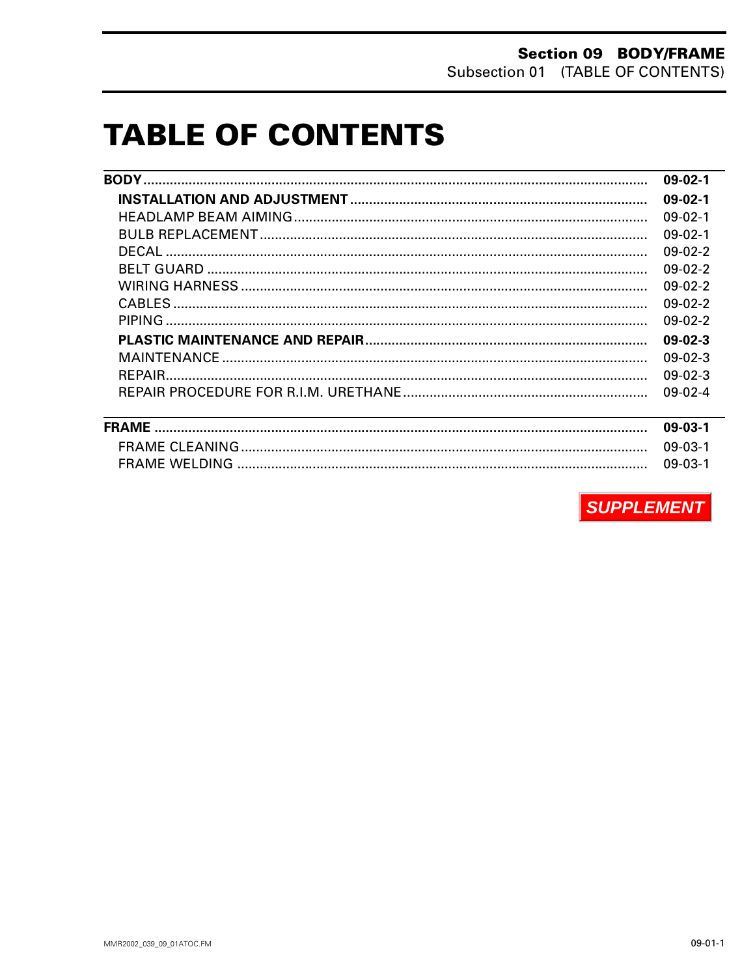# **TABLE OF CONTENTS**

| $09-02-1$ |
|-----------|
| $09-02-1$ |
| $09-02-1$ |
| $09-02-1$ |
| $09-02-2$ |
| $09-02-2$ |
| $09-02-2$ |
| $09-02-2$ |
| $09-02-2$ |
| $09-02-3$ |
| $09-02-3$ |
| $09-02-3$ |
| $09-02-4$ |

| 09-03-1   |
|-----------|
| 09-03-1   |
| $09-03-1$ |

**SUPPLEMENT**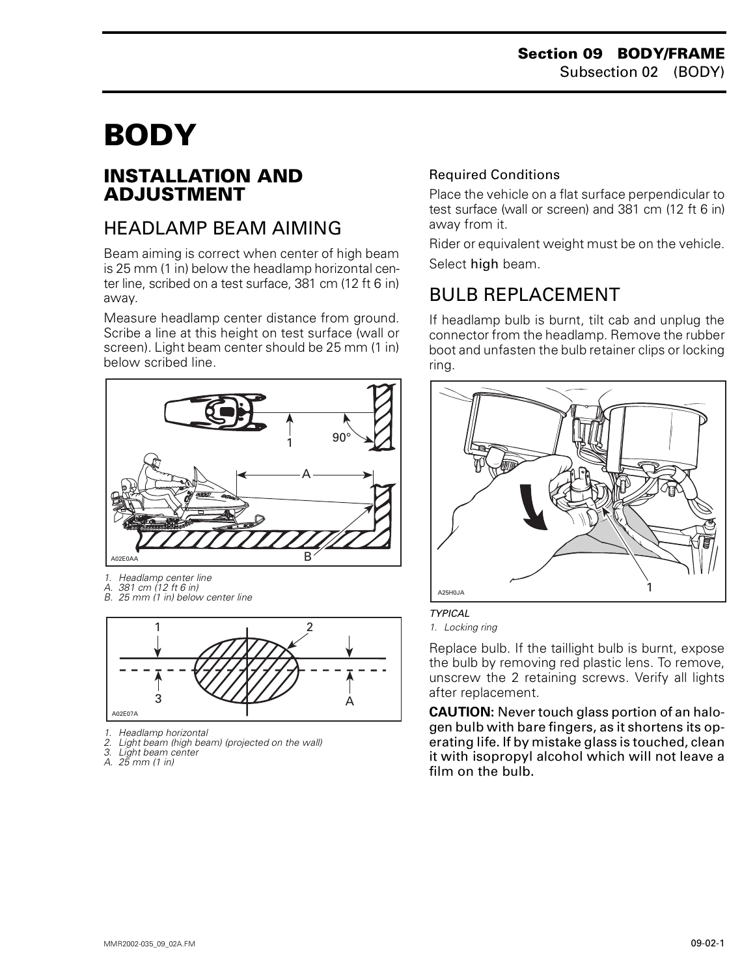# <span id="page-1-0"></span>**BODY 0**

## <span id="page-1-1"></span>**INSTALLATION AND ADJUSTMENT**

# <span id="page-1-2"></span>HEADLAMP BEAM AIMING

Beam aiming is correct when center of high beam is 25 mm (1 in) below the headlamp horizontal center line, scribed on a test surface, 381 cm (12 ft 6 in) away.

Measure headlamp center distance from ground. Scribe a line at this height on test surface (wall or screen). Light beam center should be 25 mm (1 in) below scribed line.



- *1. Headlamp center line*
- 
- *A. 381 cm (12 ft 6 in) B. 25 mm (1 in) below center line*



- *1. Headlamp horizontal*
- *2. Light beam (high beam) (projected on the wall)*
- *3. Light beam center*
- *A. 25 mm (1 in)*

#### Required Conditions

Place the vehicle on a flat surface perpendicular to test surface (wall or screen) and 381 cm (12 ft 6 in) away from it.

Rider or equivalent weight must be on the vehicle. Select high beam.

# <span id="page-1-3"></span>BULB REPLACEMENT

If headlamp bulb is burnt, tilt cab and unplug the connector from the headlamp. Remove the rubber boot and unfasten the bulb retainer clips or locking ring.





*TYPICAL*

*1. Locking ring*

Replace bulb. If the taillight bulb is burnt, expose the bulb by removing red plastic lens. To remove, unscrew the 2 retaining screws. Verify all lights after replacement.

**CAUTION:** Never touch glass portion of an halogen bulb with bare fingers, as it shortens its operating life. If by mistake glass is touched, clean it with isopropyl alcohol which will not leave a film on the bulb.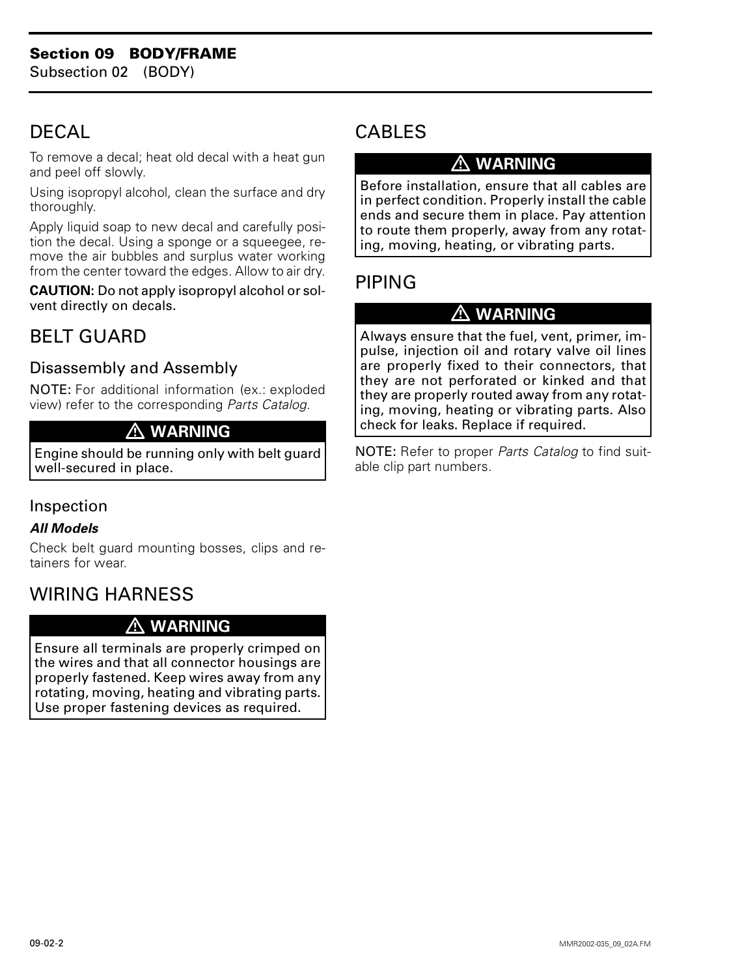# <span id="page-2-0"></span>**DECAL**

To remove a decal; heat old decal with a heat gun and peel off slowly.

Using isopropyl alcohol, clean the surface and dry thoroughly.

Apply liquid soap to new decal and carefully position the decal. Using a sponge or a squeegee, remove the air bubbles and surplus water working from the center toward the edges. Allow to air dry.

**CAUTION:** Do not apply isopropyl alcohol or solvent directly on decals.

# <span id="page-2-1"></span>BELT GUARD

### Disassembly and Assembly

NOTE: For additional information (ex.: exploded view) refer to the corresponding *Parts Catalog*.

### **WARNING**

Engine should be running only with belt guard well-secured in place.

### Inspection

#### *All Models*

Check belt guard mounting bosses, clips and retainers for wear.

# <span id="page-2-2"></span>WIRING HARNESS

### **WARNING**

Ensure all terminals are properly crimped on the wires and that all connector housings are properly fastened. Keep wires away from any rotating, moving, heating and vibrating parts. Use proper fastening devices as required.

# <span id="page-2-3"></span>CABLES

## **WARNING**

Before installation, ensure that all cables are in perfect condition. Properly install the cable ends and secure them in place. Pay attention to route them properly, away from any rotating, moving, heating, or vibrating parts.

# <span id="page-2-4"></span>PIPING

### **WARNING**

Always ensure that the fuel, vent, primer, impulse, injection oil and rotary valve oil lines are properly fixed to their connectors, that they are not perforated or kinked and that they are properly routed away from any rotating, moving, heating or vibrating parts. Also check for leaks. Replace if required.

NOTE: Refer to proper *Parts Catalog* to find suitable clip part numbers.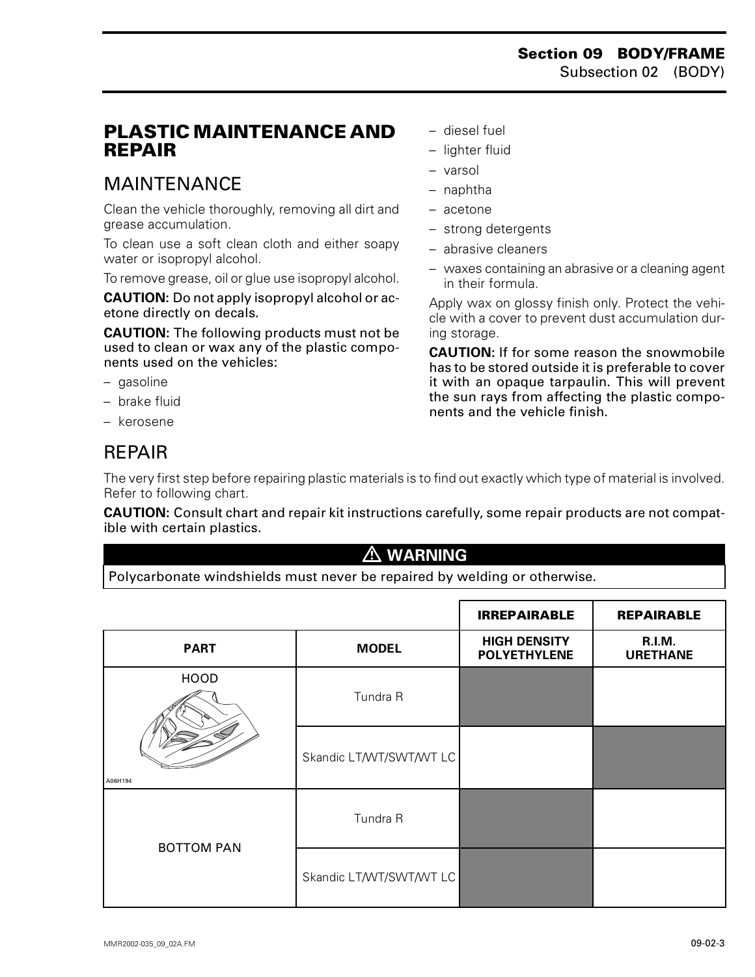### <span id="page-3-0"></span>**PLASTIC MAINTENANCE AND REPAIR**

# <span id="page-3-1"></span>MAINTENANCE

Clean the vehicle thoroughly, removing all dirt and grease accumulation.

To clean use a soft clean cloth and either soapy water or isopropyl alcohol.

To remove grease, oil or glue use isopropyl alcohol.

**CAUTION:** Do not apply isopropyl alcohol or acetone directly on decals.

**CAUTION:** The following products must not be used to clean or wax any of the plastic components used on the vehicles:

- gasoline
- brake fluid
- kerosene

## <span id="page-3-2"></span>REPAIR

– diesel fuel

- lighter fluid
- varsol
- naphtha
- acetone
- strong detergents
- abrasive cleaners
- waxes containing an abrasive or a cleaning agent in their formula.

Apply wax on glossy finish only. Protect the vehicle with a cover to prevent dust accumulation during storage.

**CAUTION:** If for some reason the snowmobile has to be stored outside it is preferable to cover it with an opaque tarpaulin. This will prevent the sun rays from affecting the plastic components and the vehicle finish.

The very first step before repairing plastic materials is to find out exactly which type of material is involved. Refer to following chart.

**CAUTION:** Consult chart and repair kit instructions carefully, some repair products are not compatible with certain plastics.

### **WARNING**

Polycarbonate windshields must never be repaired by welding or otherwise.

|                        |                         | <b>IRREPAIRABLE</b>                        | <b>REPAIRABLE</b>                |
|------------------------|-------------------------|--------------------------------------------|----------------------------------|
| <b>PART</b>            | <b>MODEL</b>            | <b>HIGH DENSITY</b><br><b>POLYETHYLENE</b> | <b>R.I.M.</b><br><b>URETHANE</b> |
| <b>HOOD</b><br>A06H194 | Tundra R                |                                            |                                  |
|                        | Skandic LT/WT/SWT/WT LC |                                            |                                  |
| <b>BOTTOM PAN</b>      | Tundra R                |                                            |                                  |
|                        | Skandic LT/WT/SWT/WT LC |                                            |                                  |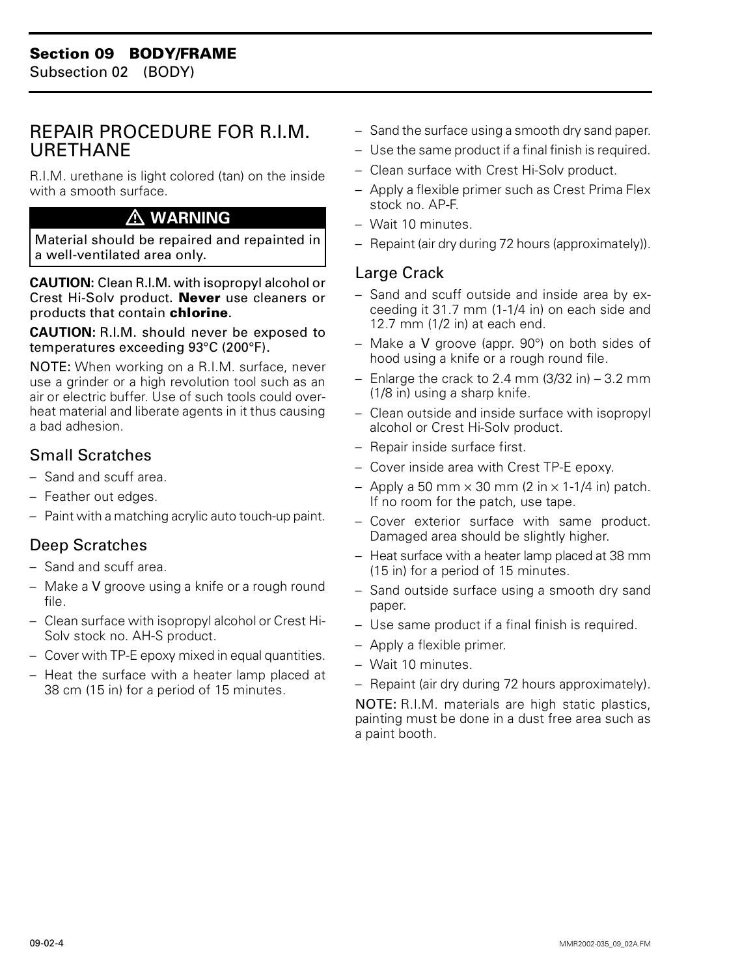### <span id="page-4-1"></span><span id="page-4-0"></span>REPAIR PROCEDURE FOR R.I.M. URETHANE

R.I.M. urethane is light colored (tan) on the inside with a smooth surface.

### **WARNING**

Material should be repaired and repainted in a well-ventilated area only.

**CAUTION:** Clean R.I.M. with isopropyl alcohol or Crest Hi-Solv product. **Never** use cleaners or products that contain **chlorine**.

**CAUTION:** R.I.M. should never be exposed to temperatures exceeding 93°C (200°F).

NOTE: When working on a R.I.M. surface, never use a grinder or a high revolution tool such as an air or electric buffer. Use of such tools could overheat material and liberate agents in it thus causing a bad adhesion.

### Small Scratches

- Sand and scuff area.
- Feather out edges.
- Paint with a matching acrylic auto touch-up paint.

### Deep Scratches

- Sand and scuff area.
- Make a V groove using a knife or a rough round file.
- Clean surface with isopropyl alcohol or Crest Hi-Solv stock no. AH-S product.
- Cover with TP-E epoxy mixed in equal quantities.
- Heat the surface with a heater lamp placed at 38 cm (15 in) for a period of 15 minutes.
- Sand the surface using a smooth dry sand paper.
- Use the same product if a final finish is required.
- Clean surface with Crest Hi-Solv product.
- Apply a flexible primer such as Crest Prima Flex stock no. AP-F.
- Wait 10 minutes.
- Repaint (air dry during 72 hours (approximately)).

### Large Crack

- Sand and scuff outside and inside area by exceeding it 31.7 mm (1-1/4 in) on each side and 12.7 mm (1/2 in) at each end.
- Make a V groove (appr. 90°) on both sides of hood using a knife or a rough round file.
- $-$  Enlarge the crack to 2.4 mm  $(3/32 \text{ in}) 3.2 \text{ mm}$ (1/8 in) using a sharp knife.
- Clean outside and inside surface with isopropyl alcohol or Crest Hi-Solv product.
- Repair inside surface first.
- Cover inside area with Crest TP-E epoxy.
- Apply a 50 mm  $\times$  30 mm (2 in  $\times$  1-1/4 in) patch. If no room for the patch, use tape.
- Cover exterior surface with same product. Damaged area should be slightly higher.
- Heat surface with a heater lamp placed at 38 mm (15 in) for a period of 15 minutes.
- Sand outside surface using a smooth dry sand paper.
- Use same product if a final finish is required.
- Apply a flexible primer.
- Wait 10 minutes.
- Repaint (air dry during 72 hours approximately).

NOTE: R.I.M. materials are high static plastics, painting must be done in a dust free area such as a paint booth.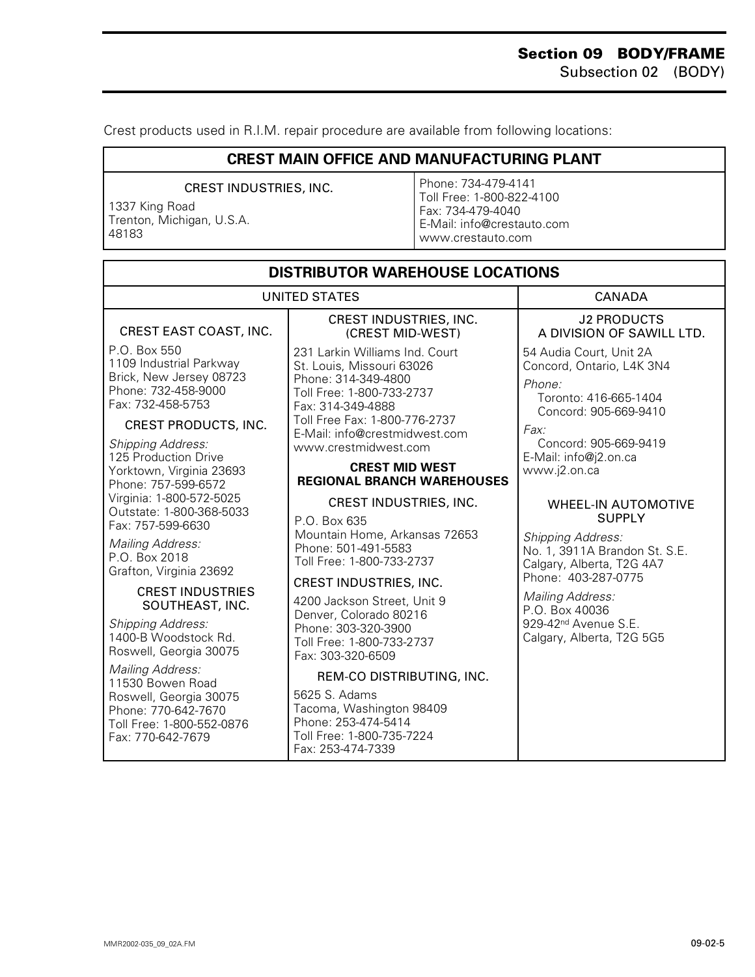Crest products used in R.I.M. repair procedure are available from following locations:

#### **CREST MAIN OFFICE AND MANUFACTURING PLANT**

#### CREST INDUSTRIES, INC.

1337 King Road Trenton, Michigan, U.S.A. 48183

Phone: 734-479-4141 Toll Free: 1-800-822-4100 Fax: 734-479-4040 E-Mail: info@crestauto.com www.crestauto.com

| <b>DISTRIBUTOR WAREHOUSE LOCATIONS</b>                                                                         |                                                                                                                                      |                                                                                                                  |  |  |  |
|----------------------------------------------------------------------------------------------------------------|--------------------------------------------------------------------------------------------------------------------------------------|------------------------------------------------------------------------------------------------------------------|--|--|--|
| <b>UNITED STATES</b>                                                                                           |                                                                                                                                      | <b>CANADA</b>                                                                                                    |  |  |  |
| CREST EAST COAST, INC.                                                                                         | CREST INDUSTRIES, INC.<br>(CREST MID-WEST)                                                                                           | <b>J2 PRODUCTS</b><br>A DIVISION OF SAWILL LTD.                                                                  |  |  |  |
| P.O. Box 550<br>1109 Industrial Parkway<br>Brick, New Jersey 08723<br>Phone: 732-458-9000<br>Fax: 732-458-5753 | 231 Larkin Williams Ind. Court<br>St. Louis, Missouri 63026<br>Phone: 314-349-4800<br>Toll Free: 1-800-733-2737<br>Fax: 314-349-4888 | 54 Audia Court, Unit 2A<br>Concord, Ontario, L4K 3N4<br>Phone:<br>Toronto: 416-665-1404<br>Concord: 905-669-9410 |  |  |  |
| <b>CREST PRODUCTS, INC.</b>                                                                                    | Toll Free Fax: 1-800-776-2737<br>E-Mail: info@crestmidwest.com                                                                       | Fax:                                                                                                             |  |  |  |
| <b>Shipping Address:</b><br>125 Production Drive                                                               | www.crestmidwest.com                                                                                                                 | Concord: 905-669-9419<br>E-Mail: info@j2.on.ca                                                                   |  |  |  |
| Yorktown, Virginia 23693<br>Phone: 757-599-6572                                                                | <b>CREST MID WEST</b><br><b>REGIONAL BRANCH WAREHOUSES</b>                                                                           | www.j2.on.ca                                                                                                     |  |  |  |
| Virginia: 1-800-572-5025<br>Outstate: 1-800-368-5033                                                           | CREST INDUSTRIES, INC.                                                                                                               | <b>WHEEL-IN AUTOMOTIVE</b>                                                                                       |  |  |  |
| Fax: 757-599-6630<br>Mailing Address:<br>P.O. Box 2018<br>Grafton, Virginia 23692                              | P.O. Box 635<br>Mountain Home, Arkansas 72653<br>Phone: 501-491-5583<br>Toll Free: 1-800-733-2737                                    | <b>SUPPLY</b><br><b>Shipping Address:</b><br>No. 1, 3911A Brandon St. S.E.<br>Calgary, Alberta, T2G 4A7          |  |  |  |
| <b>CREST INDUSTRIES</b><br>SOUTHEAST, INC.                                                                     | CREST INDUSTRIES, INC.<br>4200 Jackson Street, Unit 9                                                                                | Phone: 403-287-0775<br>Mailing Address:<br>P.O. Box 40036                                                        |  |  |  |
| Shipping Address:<br>1400-B Woodstock Rd.<br>Roswell, Georgia 30075                                            | Denver, Colorado 80216<br>Phone: 303-320-3900<br>Toll Free: 1-800-733-2737<br>Fax: 303-320-6509                                      | 929-42 <sup>nd</sup> Avenue S.E.<br>Calgary, Alberta, T2G 5G5                                                    |  |  |  |
| Mailing Address:<br>11530 Bowen Road                                                                           | REM-CO DISTRIBUTING, INC.                                                                                                            |                                                                                                                  |  |  |  |
| Roswell, Georgia 30075<br>Phone: 770-642-7670<br>Toll Free: 1-800-552-0876<br>Fax: 770-642-7679                | 5625 S. Adams<br>Tacoma, Washington 98409<br>Phone: 253-474-5414<br>Toll Free: 1-800-735-7224<br>Fax: 253-474-7339                   |                                                                                                                  |  |  |  |